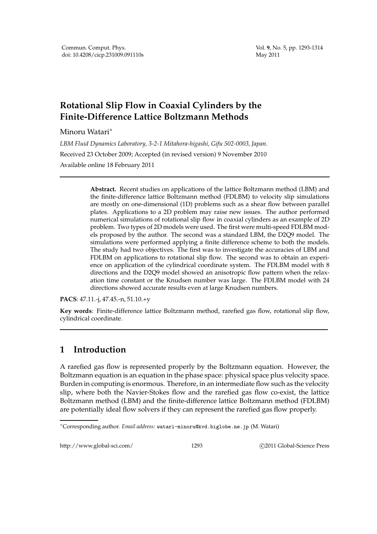## **Rotational Slip Flow in Coaxial Cylinders by the Finite-Difference Lattice Boltzmann Methods**

Minoru Watari∗

*LBM Fluid Dynamics Laboratory, 3-2-1 Mitahora-higashi, Gifu 502-0003, Japan.*

Received 23 October 2009; Accepted (in revised version) 9 November 2010

Available online 18 February 2011

**Abstract.** Recent studies on applications of the lattice Boltzmann method (LBM) and the finite-difference lattice Boltzmann method (FDLBM) to velocity slip simulations are mostly on one-dimensional (1D) problems such as a shear flow between parallel plates. Applications to a 2D problem may raise new issues. The author performed numerical simulations of rotational slip flow in coaxial cylinders as an example of 2D problem. Two types of 2D models were used. The first were multi-speed FDLBM models proposed by the author. The second was a standard LBM, the D2Q9 model. The simulations were performed applying a finite difference scheme to both the models. The study had two objectives. The first was to investigate the accuracies of LBM and FDLBM on applications to rotational slip flow. The second was to obtain an experience on application of the cylindrical coordinate system. The FDLBM model with 8 directions and the D2Q9 model showed an anisotropic flow pattern when the relaxation time constant or the Knudsen number was large. The FDLBM model with 24 directions showed accurate results even at large Knudsen numbers.

**PACS**: 47.11.-j, 47.45.-n, 51.10.+y

**Key words**: Finite-difference lattice Boltzmann method, rarefied gas flow, rotational slip flow, cylindrical coordinate.

## **1 Introduction**

A rarefied gas flow is represented properly by the Boltzmann equation. However, the Boltzmann equation is an equation in the phase space: physical space plus velocity space. Burden in computing is enormous. Therefore, in an intermediate flow such as the velocity slip, where both the Navier-Stokes flow and the rarefied gas flow co-exist, the lattice Boltzmann method (LBM) and the finite-difference lattice Boltzmann method (FDLBM) are potentially ideal flow solvers if they can represent the rarefied gas flow properly.

http://www.global-sci.com/ 1293 c 2011 Global-Science Press

<sup>∗</sup>Corresponding author. *Email address:* watari-minoru@kvd.biglobe.ne.jp (M. Watari)